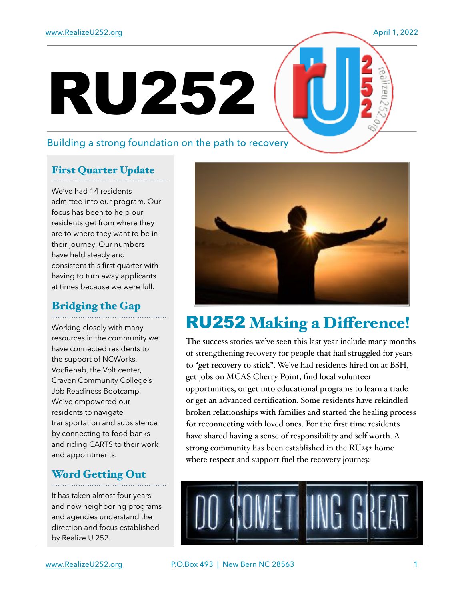## Building a strong foundation on the path to recovery

RU252

## First Quarter Update

We've had 14 residents admitted into our program. Our focus has been to help our residents get from where they are to where they want to be in their journey. Our numbers have held steady and consistent this first quarter with having to turn away applicants at times because we were full.

#### Bridging the Gap

Working closely with many resources in the community we have connected residents to the support of NCWorks, VocRehab, the Volt center, Craven Community College's Job Readiness Bootcamp. We've empowered our residents to navigate transportation and subsistence by connecting to food banks and riding CARTS to their work and appointments.

#### Word Getting Out

It has taken almost four years and now neighboring programs and agencies understand the direction and focus established by Realize U 252.



# RU252 Making a Difference!

The success stories we've seen this last year include many months of strengthening recovery for people that had struggled for years to "get recovery to stick". We've had residents hired on at BSH, get jobs on MCAS Cherry Point, find local volunteer opportunities, or get into educational programs to learn a trade or get an advanced certification. Some residents have rekindled broken relationships with families and started the healing process for reconnecting with loved ones. For the first time residents have shared having a sense of responsibility and self worth. A strong community has been established in the RU252 home where respect and support fuel the recovery journey.